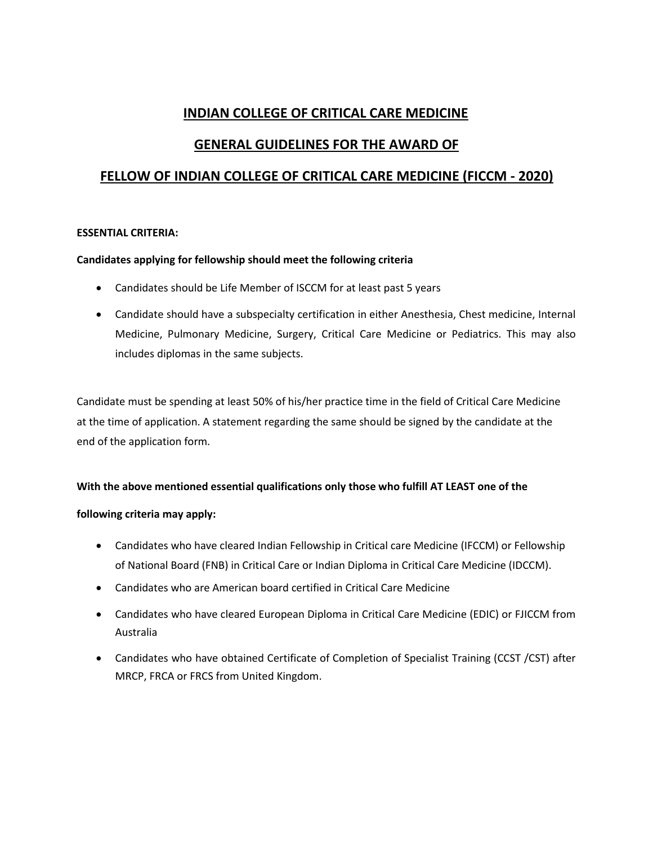# **INDIAN COLLEGE OF CRITICAL CARE MEDICINE**

# **GENERAL GUIDELINES FOR THE AWARD OF**

# **FELLOW OF INDIAN COLLEGE OF CRITICAL CARE MEDICINE (FICCM - 2020)**

#### **ESSENTIAL CRITERIA:**

### **Candidates applying for fellowship should meet the following criteria**

- Candidates should be Life Member of ISCCM for at least past 5 years
- Candidate should have a subspecialty certification in either Anesthesia, Chest medicine, Internal Medicine, Pulmonary Medicine, Surgery, Critical Care Medicine or Pediatrics. This may also includes diplomas in the same subjects.

Candidate must be spending at least 50% of his/her practice time in the field of Critical Care Medicine at the time of application. A statement regarding the same should be signed by the candidate at the end of the application form.

### **With the above mentioned essential qualifications only those who fulfill AT LEAST one of the**

### **following criteria may apply:**

- Candidates who have cleared Indian Fellowship in Critical care Medicine (IFCCM) or Fellowship of National Board (FNB) in Critical Care or Indian Diploma in Critical Care Medicine (IDCCM).
- Candidates who are American board certified in Critical Care Medicine
- Candidates who have cleared European Diploma in Critical Care Medicine (EDIC) or FJICCM from Australia
- Candidates who have obtained Certificate of Completion of Specialist Training (CCST /CST) after MRCP, FRCA or FRCS from United Kingdom.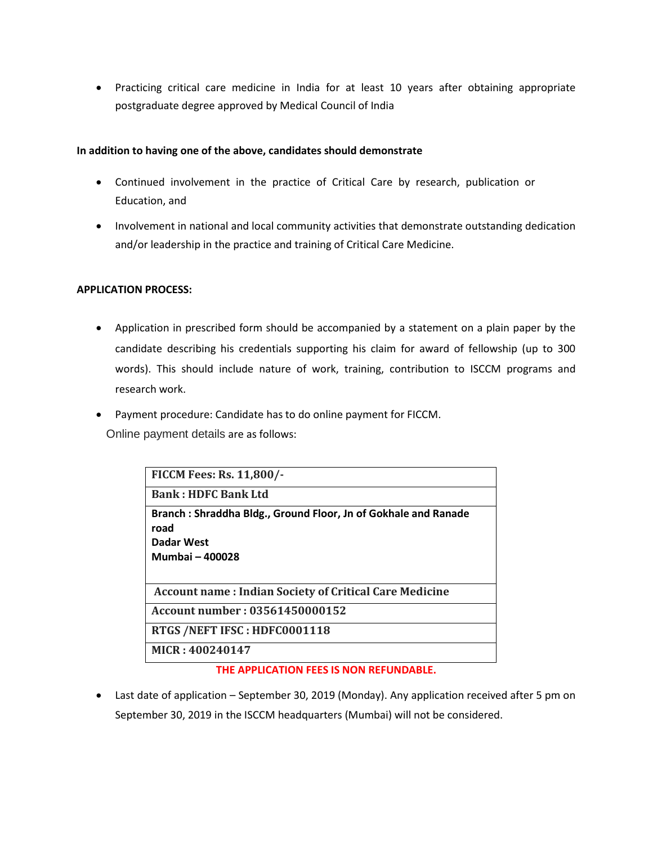Practicing critical care medicine in India for at least 10 years after obtaining appropriate postgraduate degree approved by Medical Council of India

#### **In addition to having one of the above, candidates should demonstrate**

- Continued involvement in the practice of Critical Care by research, publication or Education, and
- Involvement in national and local community activities that demonstrate outstanding dedication and/or leadership in the practice and training of Critical Care Medicine.

#### **APPLICATION PROCESS:**

- Application in prescribed form should be accompanied by a statement on a plain paper by the candidate describing his credentials supporting his claim for award of fellowship (up to 300 words). This should include nature of work, training, contribution to ISCCM programs and research work.
- Payment procedure: Candidate has to do online payment for FICCM. Online payment details are as follows:

| <b>FICCM Fees: Rs. 11,800/-</b>                                                                         |
|---------------------------------------------------------------------------------------------------------|
| <b>Bank: HDFC Bank Ltd</b>                                                                              |
| Branch: Shraddha Bldg., Ground Floor, Jn of Gokhale and Ranade<br>road<br>Dadar West<br>Mumbai - 400028 |
| <b>Account name: Indian Society of Critical Care Medicine</b>                                           |
| Account number: 03561450000152                                                                          |
| RTGS /NEFT IFSC: HDFC0001118                                                                            |
| MICR: 400240147                                                                                         |

#### **THE APPLICATION FEES IS NON REFUNDABLE.**

 Last date of application – September 30, 2019 (Monday). Any application received after 5 pm on September 30, 2019 in the ISCCM headquarters (Mumbai) will not be considered.